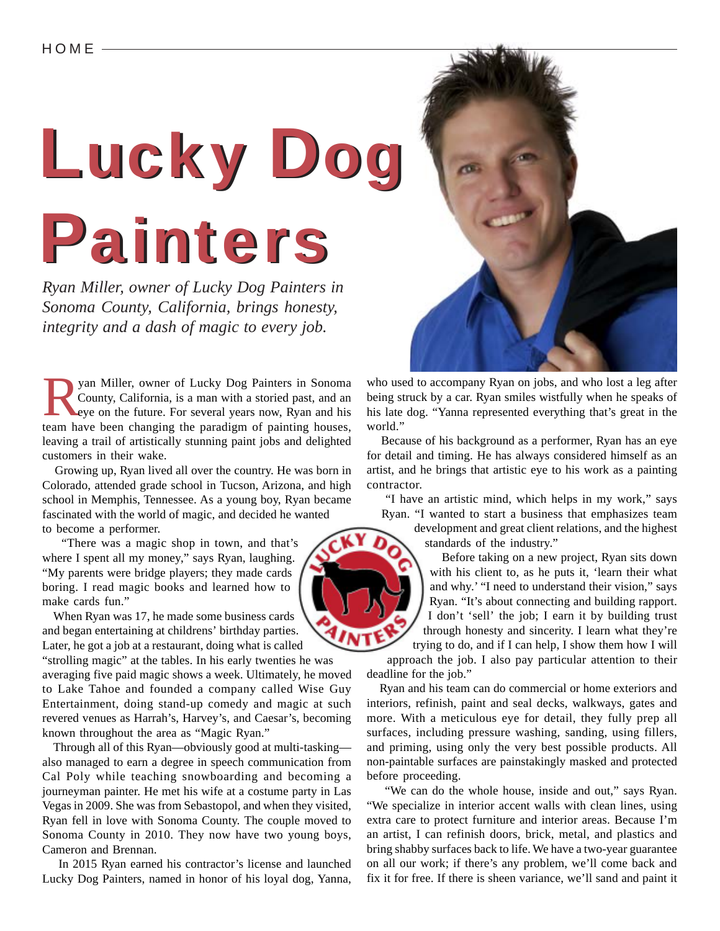## Lucky Dog Lucky Dog Painters Painters

*Ryan Miller, owner of Lucky Dog Painters in Sonoma County, California, brings honesty, integrity and a dash of magic to every job.*

For Sonoma<br>
Electric County, California, is a man with a storied past, and an<br>
eye on the future. For several years now, Ryan and his<br>
team have been changing the peredigm of pointing houses County, California, is a man with a storied past, and an team have been changing the paradigm of painting houses, leaving a trail of artistically stunning paint jobs and delighted customers in their wake.

 Growing up, Ryan lived all over the country. He was born in Colorado, attended grade school in Tucson, Arizona, and high school in Memphis, Tennessee. As a young boy, Ryan became fascinated with the world of magic, and decided he wanted to become a performer.

 "There was a magic shop in town, and that's where I spent all my money," says Ryan, laughing. "My parents were bridge players; they made cards boring. I read magic books and learned how to make cards fun."

 When Ryan was 17, he made some business cards and began entertaining at childrens' birthday parties. Later, he got a job at a restaurant, doing what is called

"strolling magic" at the tables. In his early twenties he was averaging five paid magic shows a week. Ultimately, he moved to Lake Tahoe and founded a company called Wise Guy Entertainment, doing stand-up comedy and magic at such revered venues as Harrah's, Harvey's, and Caesar's, becoming known throughout the area as "Magic Ryan."

 Through all of this Ryan—obviously good at multi-tasking also managed to earn a degree in speech communication from Cal Poly while teaching snowboarding and becoming a journeyman painter. He met his wife at a costume party in Las Vegas in 2009. She was from Sebastopol, and when they visited, Ryan fell in love with Sonoma County. The couple moved to Sonoma County in 2010. They now have two young boys, Cameron and Brennan.

 In 2015 Ryan earned his contractor's license and launched Lucky Dog Painters, named in honor of his loyal dog, Yanna,

who used to accompany Ryan on jobs, and who lost a leg after being struck by a car. Ryan smiles wistfully when he speaks of his late dog. "Yanna represented everything that's great in the world."

 Because of his background as a performer, Ryan has an eye for detail and timing. He has always considered himself as an artist, and he brings that artistic eye to his work as a painting contractor.

 "I have an artistic mind, which helps in my work," says Ryan. "I wanted to start a business that emphasizes team

development and great client relations, and the highest standards of the industry."

 Before taking on a new project, Ryan sits down with his client to, as he puts it, 'learn their what and why.' "I need to understand their vision," says Ryan. "It's about connecting and building rapport. I don't 'sell' the job; I earn it by building trust through honesty and sincerity. I learn what they're trying to do, and if I can help, I show them how I will

approach the job. I also pay particular attention to their deadline for the job."

 Ryan and his team can do commercial or home exteriors and interiors, refinish, paint and seal decks, walkways, gates and more. With a meticulous eye for detail, they fully prep all surfaces, including pressure washing, sanding, using fillers, and priming, using only the very best possible products. All non-paintable surfaces are painstakingly masked and protected before proceeding.

 "We can do the whole house, inside and out," says Ryan. "We specialize in interior accent walls with clean lines, using extra care to protect furniture and interior areas. Because I'm an artist, I can refinish doors, brick, metal, and plastics and bring shabby surfaces back to life. We have a two-year guarantee on all our work; if there's any problem, we'll come back and fix it for free. If there is sheen variance, we'll sand and paint it